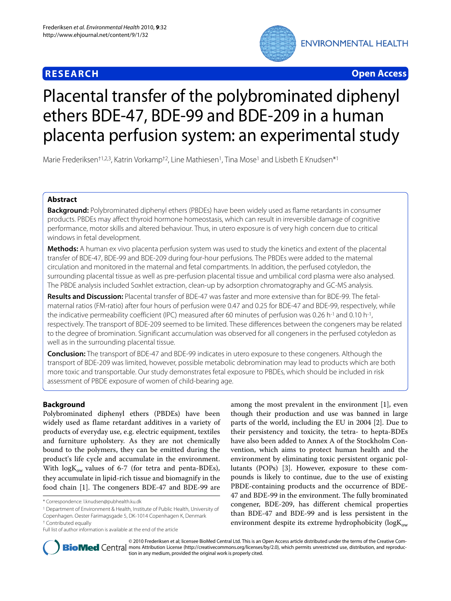# **RESEARCH Open Access**



# Placental transfer of the polybrominated diphenyl ethers BDE-47, BDE-99 and BDE-209 in a human placenta perfusion system: an experimental study

Marie Frederiksen<sup>†1,2,3</sup>, Katrin Vorkamp<sup>†2</sup>, Line Mathiesen<sup>1</sup>, Tina Mose<sup>1</sup> and Lisbeth E Knudsen<sup>\*1</sup>

# **Abstract**

**Background:** Polybrominated diphenyl ethers (PBDEs) have been widely used as flame retardants in consumer products. PBDEs may affect thyroid hormone homeostasis, which can result in irreversible damage of cognitive performance, motor skills and altered behaviour. Thus, in utero exposure is of very high concern due to critical windows in fetal development.

**Methods:** A human ex vivo placenta perfusion system was used to study the kinetics and extent of the placental transfer of BDE-47, BDE-99 and BDE-209 during four-hour perfusions. The PBDEs were added to the maternal circulation and monitored in the maternal and fetal compartments. In addition, the perfused cotyledon, the surrounding placental tissue as well as pre-perfusion placental tissue and umbilical cord plasma were also analysed. The PBDE analysis included Soxhlet extraction, clean-up by adsorption chromatography and GC-MS analysis.

**Results and Discussion:** Placental transfer of BDE-47 was faster and more extensive than for BDE-99. The fetalmaternal ratios (FM-ratio) after four hours of perfusion were 0.47 and 0.25 for BDE-47 and BDE-99, respectively, while the indicative permeability coefficient (IPC) measured after 60 minutes of perfusion was 0.26 h<sup>-1</sup> and 0.10 h<sup>-1</sup>, respectively. The transport of BDE-209 seemed to be limited. These differences between the congeners may be related to the degree of bromination. Significant accumulation was observed for all congeners in the perfused cotyledon as well as in the surrounding placental tissue.

**Conclusion:** The transport of BDE-47 and BDE-99 indicates in utero exposure to these congeners. Although the transport of BDE-209 was limited, however, possible metabolic debromination may lead to products which are both more toxic and transportable. Our study demonstrates fetal exposure to PBDEs, which should be included in risk assessment of PBDE exposure of women of child-bearing age.

# **Background**

Polybrominated diphenyl ethers (PBDEs) have been widely used as flame retardant additives in a variety of products of everyday use, e.g. electric equipment, textiles and furniture upholstery. As they are not chemically bound to the polymers, they can be emitted during the product's life cycle and accumulate in the environment. With  $\log K_{ow}$  values of 6-7 (for tetra and penta-BDEs), they accumulate in lipid-rich tissue and biomagnify in the food chain [\[1](#page-8-0)]. The congeners BDE-47 and BDE-99 are

among the most prevalent in the environment [[1\]](#page-8-0), even though their production and use was banned in large parts of the world, including the EU in 2004 [\[2](#page-8-1)]. Due to their persistency and toxicity, the tetra- to hepta-BDEs have also been added to Annex A of the Stockholm Convention, which aims to protect human health and the environment by eliminating toxic persistent organic pollutants (POPs) [[3\]](#page-8-2). However, exposure to these compounds is likely to continue, due to the use of existing PBDE-containing products and the occurrence of BDE-47 and BDE-99 in the environment. The fully brominated congener, BDE-209, has different chemical properties than BDE-47 and BDE-99 and is less persistent in the environment despite its extreme hydrophobicity ( $logK_{ow}$ )



© 2010 Frederiksen et al; licensee BioMed Central Ltd. This is an Open Access article distributed under the terms of the Creative Com-**BioMed** Central mons Attribution License (http://creativecommons.org/licenses/by/2.0), which permits unrestricted use, distribution, and reproduction in any medium, provided the original work is properly cited.

<sup>\*</sup> Correspondence: l.knudsen@pubhealth.ku.dk

<sup>1</sup> Department of Environment & Health, Institute of Public Health, University of Copenhagen. Oester Farimagsgade 5, DK-1014 Copenhagen K, Denmark

<sup>†</sup> Contributed equally

Full list of author information is available at the end of the article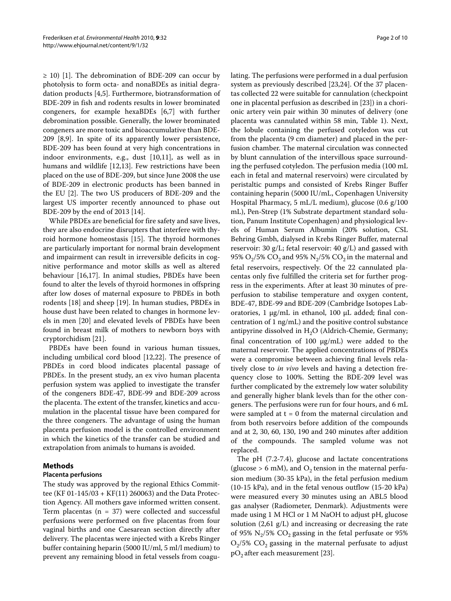$\geq$  [1](#page-8-0)0) [1]. The debromination of BDE-209 can occur by photolysis to form octa- and nonaBDEs as initial degradation products [[4,](#page-8-3)[5\]](#page-8-4). Furthermore, biotransformation of BDE-209 in fish and rodents results in lower brominated congeners, for example hexaBDEs [[6,](#page-8-5)[7\]](#page-8-6) with further debromination possible. Generally, the lower brominated congeners are more toxic and bioaccumulative than BDE-209 [\[8](#page-8-7),[9\]](#page-8-8). In spite of its apparently lower persistence, BDE-209 has been found at very high concentrations in indoor environments, e.g., dust [\[10](#page-8-9)[,11](#page-8-10)], as well as in humans and wildlife [[12,](#page-8-11)[13\]](#page-8-12). Few restrictions have been placed on the use of BDE-209, but since June 2008 the use of BDE-209 in electronic products has been banned in the EU [[2\]](#page-8-1). The two US producers of BDE-209 and the largest US importer recently announced to phase out BDE-209 by the end of 2013 [\[14](#page-8-13)].

While PBDEs are beneficial for fire safety and save lives, they are also endocrine disrupters that interfere with thyroid hormone homeostasis [\[15\]](#page-8-14). The thyroid hormones are particularly important for normal brain development and impairment can result in irreversible deficits in cognitive performance and motor skills as well as altered behaviour [[16,](#page-8-15)[17\]](#page-9-0). In animal studies, PBDEs have been found to alter the levels of thyroid hormones in offspring after low doses of maternal exposure to PBDEs in both rodents [[18\]](#page-9-1) and sheep [[19\]](#page-9-2). In human studies, PBDEs in house dust have been related to changes in hormone levels in men [\[20](#page-9-3)] and elevated levels of PBDEs have been found in breast milk of mothers to newborn boys with cryptorchidism [\[21\]](#page-9-4).

PBDEs have been found in various human tissues, including umbilical cord blood [\[12](#page-8-11)[,22](#page-9-5)]. The presence of PBDEs in cord blood indicates placental passage of PBDEs. In the present study, an ex vivo human placenta perfusion system was applied to investigate the transfer of the congeners BDE-47, BDE-99 and BDE-209 across the placenta. The extent of the transfer, kinetics and accumulation in the placental tissue have been compared for the three congeners. The advantage of using the human placenta perfusion model is the controlled environment in which the kinetics of the transfer can be studied and extrapolation from animals to humans is avoided.

# **Methods**

# **Placenta perfusions**

The study was approved by the regional Ethics Committee (KF 01-145/03 + KF(11) 260063) and the Data Protection Agency. All mothers gave informed written consent. Term placentas ( $n = 37$ ) were collected and successful perfusions were performed on five placentas from four vaginal births and one Caesarean section directly after delivery. The placentas were injected with a Krebs Ringer buffer containing heparin (5000 IU/ml, 5 ml/l medium) to prevent any remaining blood in fetal vessels from coagulating. The perfusions were performed in a dual perfusion system as previously described [[23,](#page-9-6)[24\]](#page-9-7). Of the 37 placentas collected 22 were suitable for cannulation (checkpoint one in placental perfusion as described in [\[23](#page-9-6)]) in a chorionic artery vein pair within 30 minutes of delivery (one placenta was cannulated within 58 min, Table 1). Next, the lobule containing the perfused cotyledon was cut from the placenta (9 cm diameter) and placed in the perfusion chamber. The maternal circulation was connected by blunt cannulation of the intervillous space surrounding the perfused cotyledon. The perfusion media (100 mL each in fetal and maternal reservoirs) were circulated by peristaltic pumps and consisted of Krebs Ringer Buffer containing heparin (5000 IU/mL, Copenhagen University Hospital Pharmacy, 5 mL/L medium), glucose (0.6 g/100 mL), Pen-Strep (1% Substrate department standard solution, Panum Institute Copenhagen) and physiological levels of Human Serum Albumin (20% solution, CSL Behring Gmbh, dialysed in Krebs Ringer Buffer, maternal reservoir: 30 g/L; fetal reservoir: 40 g/L) and gassed with 95%  $O_2$ /5%  $CO_2$  and 95%  $N_2$ /5%  $CO_2$  in the maternal and fetal reservoirs, respectively. Of the 22 cannulated placentas only five fulfilled the criteria set for further progress in the experiments. After at least 30 minutes of preperfusion to stabilise temperature and oxygen content, BDE-47, BDE-99 and BDE-209 (Cambridge Isotopes Laboratories, 1 μg/mL in ethanol, 100 μL added; final concentration of 1 ng/mL) and the positive control substance antipyrine dissolved in  $H<sub>2</sub>O$  (Aldrich-Chemie, Germany; final concentration of 100 μg/mL) were added to the maternal reservoir. The applied concentrations of PBDEs were a compromise between achieving final levels relatively close to *in vivo* levels and having a detection frequency close to 100%. Setting the BDE-209 level was further complicated by the extremely low water solubility and generally higher blank levels than for the other congeners. The perfusions were run for four hours, and 6 mL were sampled at  $t = 0$  from the maternal circulation and from both reservoirs before addition of the compounds and at 2, 30, 60, 130, 190 and 240 minutes after addition of the compounds. The sampled volume was not replaced.

The pH (7.2-7.4), glucose and lactate concentrations (glucose > 6 mM), and  $O_2$  tension in the maternal perfusion medium (30-35 kPa), in the fetal perfusion medium (10-15 kPa), and in the fetal venous outflow (15-20 kPa) were measured every 30 minutes using an ABL5 blood gas analyser (Radiometer, Denmark). Adjustments were made using 1 M HCl or 1 M NaOH to adjust pH, glucose solution (2,61 g/L) and increasing or decreasing the rate of 95%  $N_2/5$ %  $CO_2$  gassing in the fetal perfusate or 95%  $O<sub>2</sub>/5\%$  CO<sub>2</sub> gassing in the maternal perfusate to adjust  $pO<sub>2</sub>$  after each measurement [\[23](#page-9-6)].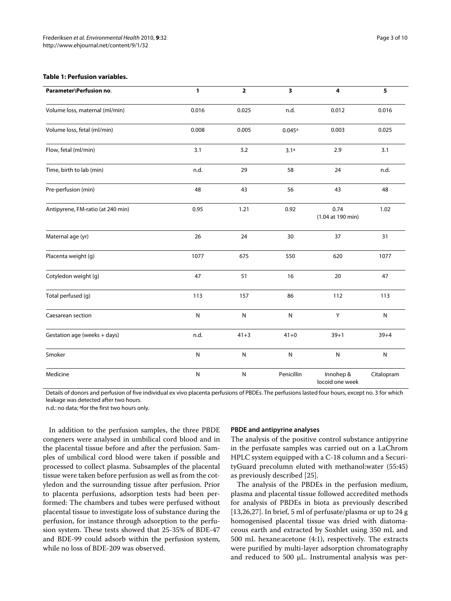#### **Table 1: Perfusion variables.**

| Parameter\Perfusion no.           | 1         | $\overline{\mathbf{2}}$ | 3          | $\overline{\mathbf{4}}$      | $\overline{\mathbf{5}}$ |
|-----------------------------------|-----------|-------------------------|------------|------------------------------|-------------------------|
| Volume loss, maternal (ml/min)    | 0.016     | 0.025                   | n.d.       | 0.012                        | 0.016                   |
| Volume loss, fetal (ml/min)       | 0.008     | 0.005                   | 0.045a     | 0.003                        | 0.025                   |
| Flow, fetal (ml/min)              | 3.1       | 3.2                     | 3.1a       | 2.9                          | 3.1                     |
| Time, birth to lab (min)          | n.d.      | 29                      | 58         | 24                           | n.d.                    |
| Pre-perfusion (min)               | 48        | 43                      | 56         | 43                           | 48                      |
| Antipyrene, FM-ratio (at 240 min) | 0.95      | 1.21                    | 0.92       | 0.74<br>(1.04 at 190 min)    | 1.02                    |
| Maternal age (yr)                 | 26        | 24                      | 30         | 37                           | 31                      |
| Placenta weight (g)               | 1077      | 675                     | 550        | 620                          | 1077                    |
| Cotyledon weight (g)              | 47        | 51                      | 16         | 20                           | 47                      |
| Total perfused (g)                | 113       | 157                     | 86         | 112                          | 113                     |
| Caesarean section                 | ${\sf N}$ | ${\sf N}$               | ${\sf N}$  | Υ                            | ${\sf N}$               |
| Gestation age (weeks + days)      | n.d.      | $41 + 3$                | $41 + 0$   | $39 + 1$                     | $39 + 4$                |
| Smoker                            | ${\sf N}$ | ${\sf N}$               | ${\sf N}$  | ${\sf N}$                    | ${\sf N}$               |
| Medicine                          | ${\sf N}$ | ${\sf N}$               | Penicillin | Innohep &<br>locoid one week | Citalopram              |

Details of donors and perfusion of five individual ex vivo placenta perfusions of PBDEs. The perfusions lasted four hours, except no. 3 for which leakage was detected after two hours.

n.d.: no data; afor the first two hours only.

In addition to the perfusion samples, the three PBDE congeners were analysed in umbilical cord blood and in the placental tissue before and after the perfusion. Samples of umbilical cord blood were taken if possible and processed to collect plasma. Subsamples of the placental tissue were taken before perfusion as well as from the cotyledon and the surrounding tissue after perfusion. Prior to placenta perfusions, adsorption tests had been performed: The chambers and tubes were perfused without placental tissue to investigate loss of substance during the perfusion, for instance through adsorption to the perfusion system. These tests showed that 25-35% of BDE-47 and BDE-99 could adsorb within the perfusion system, while no loss of BDE-209 was observed.

#### **PBDE and antipyrine analyses**

The analysis of the positive control substance antipyrine in the perfusate samples was carried out on a LaChrom HPLC system equipped with a C-18 column and a SecurityGuard precolumn eluted with methanol:water (55:45) as previously described [\[25\]](#page-9-8).

The analysis of the PBDEs in the perfusion medium, plasma and placental tissue followed accredited methods for analysis of PBDEs in biota as previously described [[13,](#page-8-12)[26,](#page-9-9)[27\]](#page-9-10). In brief, 5 ml of perfusate/plasma or up to 24 g homogenised placental tissue was dried with diatomaceous earth and extracted by Soxhlet using 350 mL and 500 mL hexane:acetone (4:1), respectively. The extracts were purified by multi-layer adsorption chromatography and reduced to 500 μL. Instrumental analysis was per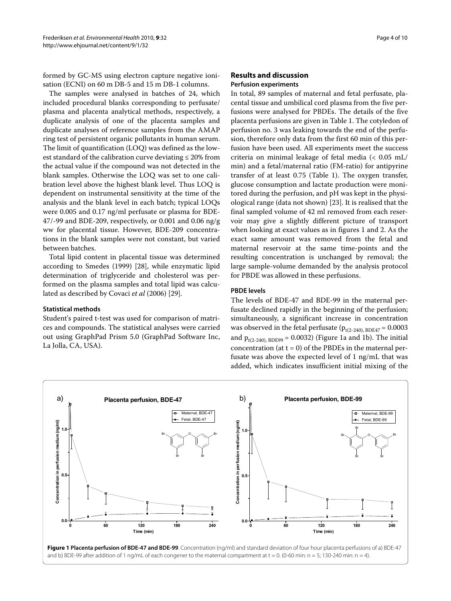formed by GC-MS using electron capture negative ionisation (ECNI) on 60 m DB-5 and 15 m DB-1 columns.

The samples were analysed in batches of 24, which included procedural blanks corresponding to perfusate/ plasma and placenta analytical methods, respectively, a duplicate analysis of one of the placenta samples and duplicate analyses of reference samples from the AMAP ring test of persistent organic pollutants in human serum. The limit of quantification (LOQ) was defined as the lowest standard of the calibration curve deviating ≤ 20% from the actual value if the compound was not detected in the blank samples. Otherwise the LOQ was set to one calibration level above the highest blank level. Thus LOQ is dependent on instrumental sensitivity at the time of the analysis and the blank level in each batch; typical LOQs were 0.005 and 0.17 ng/ml perfusate or plasma for BDE-47/-99 and BDE-209, respectively, or 0.001 and 0.06 ng/g ww for placental tissue. However, BDE-209 concentrations in the blank samples were not constant, but varied between batches.

Total lipid content in placental tissue was determined according to Smedes (1999) [\[28](#page-9-11)], while enzymatic lipid determination of triglyceride and cholesterol was performed on the plasma samples and total lipid was calculated as described by Covaci *et al* (2006) [\[29](#page-9-12)].

#### **Statistical methods**

Student's paired t-test was used for comparison of matrices and compounds. The statistical analyses were carried out using GraphPad Prism 5.0 (GraphPad Software Inc, La Jolla, CA, USA).

# **Results and discussion**

#### **Perfusion experiments**

In total, 89 samples of maternal and fetal perfusate, placental tissue and umbilical cord plasma from the five perfusions were analysed for PBDEs. The details of the five placenta perfusions are given in Table 1. The cotyledon of perfusion no. 3 was leaking towards the end of the perfusion, therefore only data from the first 60 min of this perfusion have been used. All experiments meet the success criteria on minimal leakage of fetal media (< 0.05 mL/ min) and a fetal/maternal ratio (FM-ratio) for antipyrine transfer of at least 0.75 (Table 1). The oxygen transfer, glucose consumption and lactate production were monitored during the perfusion, and pH was kept in the physiological range (data not shown) [\[23](#page-9-6)]. It is realised that the final sampled volume of 42 ml removed from each reservoir may give a slightly different picture of transport when looking at exact values as in figures [1](#page-3-0) and [2](#page-4-0). As the exact same amount was removed from the fetal and maternal reservoir at the same time-points and the resulting concentration is unchanged by removal; the large sample-volume demanded by the analysis protocol for PBDE was allowed in these perfusions.

### **PBDE levels**

The levels of BDE-47 and BDE-99 in the maternal perfusate declined rapidly in the beginning of the perfusion; simultaneously, a significant increase in concentration was observed in the fetal perfusate ( $p_{t(2-240), BDE47} = 0.0003$ and  $p_{t(2-240), BDE99} = 0.0032$ ) (Figure [1](#page-3-0)a and [1](#page-3-0)b). The initial concentration (at  $t = 0$ ) of the PBDEs in the maternal perfusate was above the expected level of 1 ng/mL that was added, which indicates insufficient initial mixing of the

<span id="page-3-0"></span>

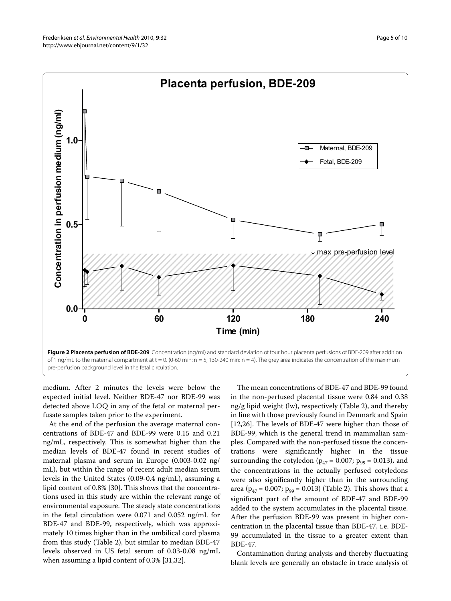<span id="page-4-0"></span>

of 1 ng/mL to the maternal compartment at  $t = 0$ . (0-60 min:  $n = 5$ ; 130-240 min:  $n = 4$ ). The grey area indicates the concentration of the maximum pre-perfusion background level in the fetal circulation.

medium. After 2 minutes the levels were below the expected initial level. Neither BDE-47 nor BDE-99 was detected above LOQ in any of the fetal or maternal perfusate samples taken prior to the experiment.

At the end of the perfusion the average maternal concentrations of BDE-47 and BDE-99 were 0.15 and 0.21 ng/mL, respectively. This is somewhat higher than the median levels of BDE-47 found in recent studies of maternal plasma and serum in Europe (0.003-0.02 ng/ mL), but within the range of recent adult median serum levels in the United States (0.09-0.4 ng/mL), assuming a lipid content of 0.8% [\[30](#page-9-13)]. This shows that the concentrations used in this study are within the relevant range of environmental exposure. The steady state concentrations in the fetal circulation were 0.071 and 0.052 ng/mL for BDE-47 and BDE-99, respectively, which was approximately 10 times higher than in the umbilical cord plasma from this study (Table 2), but similar to median BDE-47 levels observed in US fetal serum of 0.03-0.08 ng/mL when assuming a lipid content of 0.3% [[31,](#page-9-14)[32\]](#page-9-15).

The mean concentrations of BDE-47 and BDE-99 found in the non-perfused placental tissue were 0.84 and 0.38  $ng/g$  lipid weight (lw), respectively (Table 2), and thereby in line with those previously found in Denmark and Spain [[12,](#page-8-11)[26\]](#page-9-9). The levels of BDE-47 were higher than those of BDE-99, which is the general trend in mammalian samples. Compared with the non-perfused tissue the concentrations were significantly higher in the tissue surrounding the cotyledon ( $p_{47} = 0.007$ ;  $p_{99} = 0.013$ ), and the concentrations in the actually perfused cotyledons were also significantly higher than in the surrounding area ( $p_{47}$  = 0.007;  $p_{99}$  = 0.013) (Table 2). This shows that a significant part of the amount of BDE-47 and BDE-99 added to the system accumulates in the placental tissue. After the perfusion BDE-99 was present in higher concentration in the placental tissue than BDE-47, i.e. BDE-99 accumulated in the tissue to a greater extent than BDE-47.

Contamination during analysis and thereby fluctuating blank levels are generally an obstacle in trace analysis of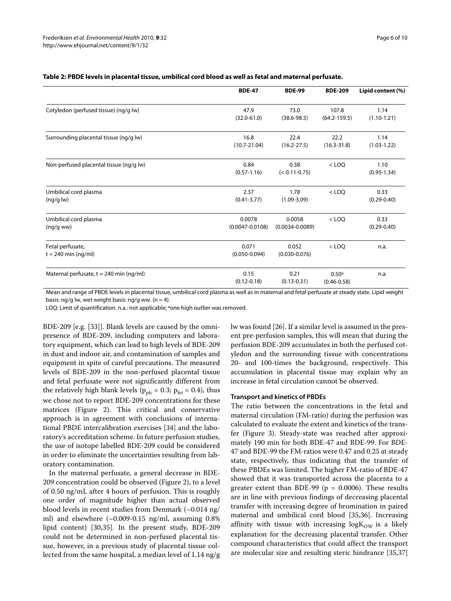|                                           | <b>BDE-47</b>              | <b>BDE-99</b>              | <b>BDE-209</b>                       | Lipid content (%)       |
|-------------------------------------------|----------------------------|----------------------------|--------------------------------------|-------------------------|
| Cotyledon (perfused tissue) (ng/g lw)     | 47.9                       | 73.0                       | 107.8                                | 1.14                    |
|                                           | $(32.0 - 61.0)$            | $(38.6 - 98.5)$            | $(64.2 - 159.5)$                     | $(1.10 - 1.21)$         |
| Surrounding placental tissue (ng/g lw)    | 16.8                       | 22.4                       | 22.2                                 | 1.14                    |
|                                           | $(10.7 - 21.04)$           | $(16.2 - 27.5)$            | $(16.3 - 31.8)$                      | $(1.03 - 1.22)$         |
| Non-perfused placental tissue (ng/g lw)   | 0.84<br>$(0.57 - 1.16)$    | 0.38<br>$(< 0.11 - 0.75)$  | $<$ LOO                              | 1.10<br>$(0.95 - 1.34)$ |
| Umbilical cord plasma                     | 2.37                       | 1.78                       | $<$ LOQ                              | 0.33                    |
| (ng/g/w)                                  | $(0.41 - 3.77)$            | $(1.09 - 3.09)$            |                                      | $(0.29 - 0.40)$         |
| Umbilical cord plasma                     | 0.0078                     | 0.0058                     | $<$ LOQ                              | 0.33                    |
| (ng/gww)                                  | $(0.0047 - 0.0108)$        | $(0.0034 - 0.0089)$        |                                      | $(0.29 - 0.40)$         |
| Fetal perfusate,<br>$t = 240$ min (ng/ml) | 0.071<br>$(0.050 - 0.094)$ | 0.052<br>$(0.030 - 0.076)$ | $<$ LOO                              | n.a.                    |
| Maternal perfusate, t = 240 min (ng/ml)   | 0.15<br>$(0.12 - 0.18)$    | 0.21<br>$(0.13 - 0.31)$    | 0.50 <sup>a</sup><br>$(0.46 - 0.58)$ | n.a.                    |

# **Table 2: PBDE levels in placental tissue, umbilical cord blood as well as fetal and maternal perfusate.**

Mean and range of PBDE levels in placental tissue, umbilical cord plasma as well as in maternal and fetal perfusate at steady state. Lipid weight basis: ng/g lw, wet weight basis: ng/g ww. ( $n = 4$ ).

LOQ: Limit of quantification. n.a.: not applicable; aone high outlier was removed.

BDE-209 [e.g. [\[33\]](#page-9-16)]. Blank levels are caused by the omnipresence of BDE-209, including computers and laboratory equipment, which can lead to high levels of BDE-209 in dust and indoor air, and contamination of samples and equipment in spite of careful precautions. The measured levels of BDE-209 in the non-perfused placental tissue and fetal perfusate were not significantly different from the relatively high blank levels ( $p_{\text{plc}} = 0.3$ ;  $p_{\text{fet}} = 0.4$ ), thus we chose not to report BDE-209 concentrations for these matrices (Figure [2](#page-4-0)). This critical and conservative approach is in agreement with conclusions of international PBDE intercalibration exercises [\[34](#page-9-17)] and the laboratory's accreditation scheme. In future perfusion studies, the use of isotope labelled BDE-209 could be considered in order to eliminate the uncertainties resulting from laboratory contamination.

In the maternal perfusate, a general decrease in BDE-209 concentration could be observed (Figure [2](#page-4-0)), to a level of 0.50 ng/mL after 4 hours of perfusion. This is roughly one order of magnitude higher than actual observed blood levels in recent studies from Denmark  $(\sim 0.014 \text{ ng}/\text{s})$ ml) and elsewhere  $(-0.009-0.15 \text{ ng/ml},$  assuming  $0.8\%$ lipid content) [\[30](#page-9-13)[,35](#page-9-18)]. In the present study, BDE-209 could not be determined in non-perfused placental tissue, however, in a previous study of placental tissue collected from the same hospital, a median level of 1.14 ng/g lw was found [\[26\]](#page-9-9). If a similar level is assumed in the present pre-perfusion samples, this will mean that during the perfusion BDE-209 accumulates in both the perfused cotyledon and the surrounding tissue with concentrations 20- and 100-times the background, respectively. This accumulation in placental tissue may explain why an increase in fetal circulation cannot be observed.

#### **Transport and kinetics of PBDEs**

The ratio between the concentrations in the fetal and maternal circulation (FM-ratio) during the perfusion was calculated to evaluate the extent and kinetics of the transfer (Figure [3](#page-6-0)). Steady-state was reached after approximately 190 min for both BDE-47 and BDE-99. For BDE-47 and BDE-99 the FM-ratios were 0.47 and 0.25 at steady state, respectively, thus indicating that the transfer of these PBDEs was limited. The higher FM-ratio of BDE-47 showed that it was transported across the placenta to a greater extent than BDE-99 ( $p = 0.0006$ ). These results are in line with previous findings of decreasing placental transfer with increasing degree of bromination in paired maternal and umbilical cord blood [[35,](#page-9-18)[36\]](#page-9-19). Increasing affinity with tissue with increasing  $logK_{OW}$  is a likely explanation for the decreasing placental transfer. Other compound characteristics that could affect the transport are molecular size and resulting steric hindrance [\[35](#page-9-18),[37](#page-9-20)]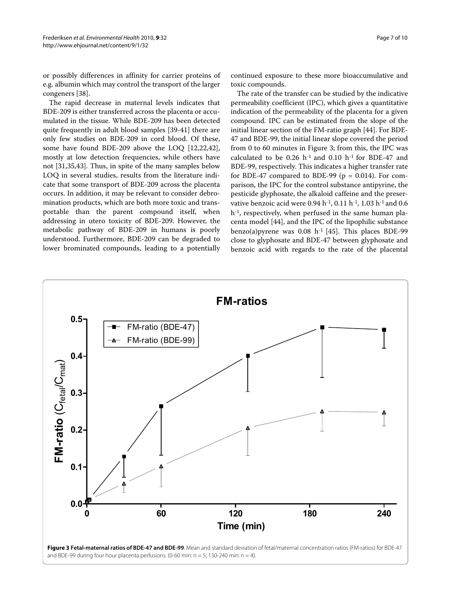or possibly differences in affinity for carrier proteins of e.g. albumin which may control the transport of the larger congeners [[38\]](#page-9-21).

The rapid decrease in maternal levels indicates that BDE-209 is either transferred across the placenta or accumulated in the tissue. While BDE-209 has been detected quite frequently in adult blood samples [[39](#page-9-22)-[41\]](#page-9-23) there are only few studies on BDE-209 in cord blood. Of these, some have found BDE-209 above the LOQ [\[12](#page-8-11)[,22](#page-9-5)[,42](#page-9-24)], mostly at low detection frequencies, while others have not [[31](#page-9-14),[35,](#page-9-18)[43\]](#page-9-25). Thus, in spite of the many samples below LOQ in several studies, results from the literature indicate that some transport of BDE-209 across the placenta occurs. In addition, it may be relevant to consider debromination products, which are both more toxic and transportable than the parent compound itself, when addressing in utero toxicity of BDE-209. However, the metabolic pathway of BDE-209 in humans is poorly understood. Furthermore, BDE-209 can be degraded to lower brominated compounds, leading to a potentially

continued exposure to these more bioaccumulative and toxic compounds.

The rate of the transfer can be studied by the indicative permeability coefficient (IPC), which gives a quantitative indication of the permeability of the placenta for a given compound. IPC can be estimated from the slope of the initial linear section of the FM-ratio graph [[44](#page-9-26)]. For BDE-47 and BDE-99, the initial linear slope covered the period from 0 to 60 minutes in Figure [3](#page-6-0); from this, the IPC was calculated to be 0.26  $h^{-1}$  and 0.10  $h^{-1}$  for BDE-47 and BDE-99, respectively. This indicates a higher transfer rate for BDE-47 compared to BDE-99 ( $p = 0.014$ ). For comparison, the IPC for the control substance antipyrine, the pesticide glyphosate, the alkaloid caffeine and the preservative benzoic acid were 0.94 h<sup>-1</sup>, 0.11 h<sup>-1</sup>, 1.03 h<sup>-1</sup> and 0.6 h-1, respectively, when perfused in the same human placenta model [[44\]](#page-9-26), and the IPC of the lipophilic substance benzo(a)pyrene was  $0.08$  h<sup>-1</sup> [\[45](#page-9-27)]. This places BDE-99 close to glyphosate and BDE-47 between glyphosate and benzoic acid with regards to the rate of the placental

<span id="page-6-0"></span>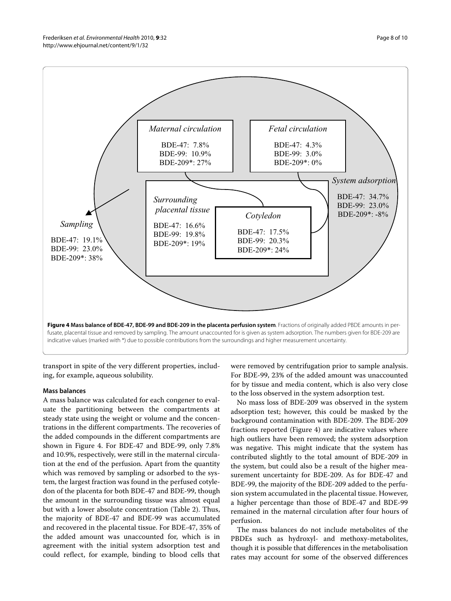

<span id="page-7-0"></span>

transport in spite of the very different properties, including, for example, aqueous solubility.

# **Mass balances**

A mass balance was calculated for each congener to evaluate the partitioning between the compartments at steady state using the weight or volume and the concentrations in the different compartments. The recoveries of the added compounds in the different compartments are shown in Figure [4.](#page-7-0) For BDE-47 and BDE-99, only 7.8% and 10.9%, respectively, were still in the maternal circulation at the end of the perfusion. Apart from the quantity which was removed by sampling or adsorbed to the system, the largest fraction was found in the perfused cotyledon of the placenta for both BDE-47 and BDE-99, though the amount in the surrounding tissue was almost equal but with a lower absolute concentration (Table 2). Thus, the majority of BDE-47 and BDE-99 was accumulated and recovered in the placental tissue. For BDE-47, 35% of the added amount was unaccounted for, which is in agreement with the initial system adsorption test and could reflect, for example, binding to blood cells that

were removed by centrifugation prior to sample analysis. For BDE-99, 23% of the added amount was unaccounted for by tissue and media content, which is also very close to the loss observed in the system adsorption test.

No mass loss of BDE-209 was observed in the system adsorption test; however, this could be masked by the background contamination with BDE-209. The BDE-209 fractions reported (Figure [4](#page-7-0)) are indicative values where high outliers have been removed; the system adsorption was negative. This might indicate that the system has contributed slightly to the total amount of BDE-209 in the system, but could also be a result of the higher measurement uncertainty for BDE-209. As for BDE-47 and BDE-99, the majority of the BDE-209 added to the perfusion system accumulated in the placental tissue. However, a higher percentage than those of BDE-47 and BDE-99 remained in the maternal circulation after four hours of perfusion.

The mass balances do not include metabolites of the PBDEs such as hydroxyl- and methoxy-metabolites, though it is possible that differences in the metabolisation rates may account for some of the observed differences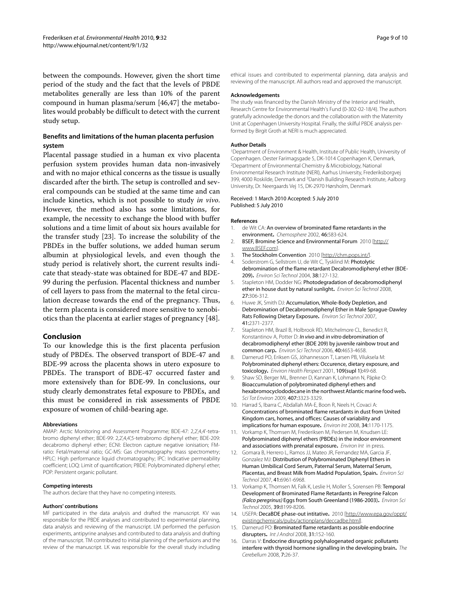between the compounds. However, given the short time period of the study and the fact that the levels of PBDE metabolites generally are less than 10% of the parent compound in human plasma/serum [[46,](#page-9-28)[47\]](#page-9-29) the metabolites would probably be difficult to detect with the current study setup.

# **Benefits and limitations of the human placenta perfusion system**

Placental passage studied in a human ex vivo placenta perfusion system provides human data non-invasively and with no major ethical concerns as the tissue is usually discarded after the birth. The setup is controlled and several compounds can be studied at the same time and can include kinetics, which is not possible to study *in vivo*. However, the method also has some limitations, for example, the necessity to exchange the blood with buffer solutions and a time limit of about six hours available for the transfer study [[23](#page-9-6)]. To increase the solubility of the PBDEs in the buffer solutions, we added human serum albumin at physiological levels, and even though the study period is relatively short, the current results indicate that steady-state was obtained for BDE-47 and BDE-99 during the perfusion. Placental thickness and number of cell layers to pass from the maternal to the fetal circulation decrease towards the end of the pregnancy. Thus, the term placenta is considered more sensitive to xenobiotics than the placenta at earlier stages of pregnancy [[48\]](#page-9-30).

# **Conclusion**

To our knowledge this is the first placenta perfusion study of PBDEs. The observed transport of BDE-47 and BDE-99 across the placenta shows in utero exposure to PBDEs. The transport of BDE-47 occurred faster and more extensively than for BDE-99. In conclusions, our study clearly demonstrates fetal exposure to PBDEs, and this must be considered in risk assessments of PBDE exposure of women of child-bearing age.

#### **Abbreviations**

AMAP: Arctic Monitoring and Assessment Programme: BDE-47: 2,2',4,4'-tetrabromo diphenyl ether; BDE-99: 2,2',4,4',5-tetrabromo diphenyl ether; BDE-209: decabromo diphenyl ether; ECNI: Electron capture negative ionisation; FMratio: Fetal/maternal ratio; GC-MS: Gas chromatography mass spectrometry; HPLC: High performance liquid chromatography; IPC: Indicative permeability coefficient; LOQ: Limit of quantification; PBDE: Polybrominated diphenyl ether; POP: Persistent organic pollutant.

#### **Competing interests**

The authors declare that they have no competing interests.

#### **Authors' contributions**

MF participated in the data analysis and drafted the manuscript. KV was responsible for the PBDE analyses and contributed to experimental planning, data analysis and reviewing of the manuscript. LM performed the perfusion experiments, antipyrine analyses and contributed to data analysis and drafting of the manuscript. TM contributed to initial planning of the perfusions and the review of the manuscript. LK was responsible for the overall study including

ethical issues and contributed to experimental planning, data analysis and reviewing of the manuscript. All authors read and approved the manuscript.

#### **Acknowledgements**

The study was financed by the Danish Ministry of the Interior and Health, Research Centre for Environmental Health's Fund (0-302-02-18/4). The authors gratefully acknowledge the donors and the collaboration with the Maternity Unit at Copenhagen University Hospital. Finally, the skilful PBDE analysis performed by Birgit Groth at NERI is much appreciated.

#### **Author Details**

1Department of Environment & Health, Institute of Public Health, University of Copenhagen. Oester Farimagsgade 5, DK-1014 Copenhagen K, Denmark, <sup>2</sup>Department of Environmental Chemistry & Microbiology, National Environmental Research Institute (NERI), Aarhus University, Frederiksborgvej 399, 4000 Roskilde, Denmark and 3Danish Building Research Institute, Aalborg University, Dr. Neergaards Vej 15, DK-2970 Hørsholm, Denmark

#### Received: 1 March 2010 Accepted: 5 July 2010 Published: 5 July 2010

#### **References**

- <span id="page-8-0"></span>1. de Wit CA: An overview of brominated flame retardants in the environment**.** Chemosphere 2002, 46:583-624.
- <span id="page-8-1"></span>2. BSEF, Bromine Science and Environmental Forum 2010 [[http://](http://www.BSEF.com) [www.BSEF.com](http://www.BSEF.com)].
- <span id="page-8-2"></span>3. The Stockholm Convention 2010 [[http://chm.pops.int/\]](http://chm.pops.int/).
- <span id="page-8-3"></span>Soderstrom G, Sellstrom U, de Wit C, Tysklind M: Photolytic debromination of the flame retardant Decabromodiphenyl ether (BDE-209)**[.](http://www.ncbi.nlm.nih.gov/entrez/query.fcgi?cmd=Retrieve&db=PubMed&dopt=Abstract&list_uids=14740727)** Environ Sci Technol 2004, 38:127-132.
- <span id="page-8-4"></span>Stapleton HM, Dodder NG: Photodegradation of decabromodiphenyl ether in house dust by natural sunlight**.** Environ Sci Technol 2008, 27:306-312.
- <span id="page-8-5"></span>6. Huwe JK, Smith DJ: Accumulation, Whole-Body Depletion, and Debromination of Decabromodiphenyl Ether in Male Sprague-Dawley Rats Following Dietary Exposure**.** Environ Sci Technol 2007, 41:2371-2377.
- <span id="page-8-6"></span>7. Stapleton HM, Brazil B, Holbrook RD, Mitchelmore CL, Benedict R, Konstantinov A, Potter D: In vivo and in vitro debromination of decabromodiphenyl ether (BDE 209) by juvenile rainbow trout and common carp**.** Environ Sci Technol 2006, 40:4653-4658.
- <span id="page-8-7"></span>8. Darnerud PO, Eriksen GS, Jóhannesson T, Larsen PB, Viluksela M: Polybrominated diphenyl ethers: Occurence, dietary exposure, and toxicology**[.](http://www.ncbi.nlm.nih.gov/entrez/query.fcgi?cmd=Retrieve&db=PubMed&dopt=Abstract&list_uids=11250805)** Environ Health Perspect 2001, 109(supl 1):49-68.
- <span id="page-8-8"></span>9. Shaw SD, Berger ML, Brenner D, Kannan K, Lohmann N, Päpke O: Bioaccumulation of polybrominated diphenyl ethers and hexabromocyclododecane in the northwest Atlantic marine food web**.** Sci Tot Environ 2009, 407:3323-3329.
- <span id="page-8-9"></span>10. Harrad S, Ibarra C, Abdallah MA-E, Boon R, Neels H, Covaci A: Concentrations of brominated flame retardants in dust from United Kingdom cars, homes, and offices: Causes of variability and implications for human exposure**[.](http://www.ncbi.nlm.nih.gov/entrez/query.fcgi?cmd=Retrieve&db=PubMed&dopt=Abstract&list_uids=18558431)** Environ Int 2008, 34:1170-1175.
- <span id="page-8-10"></span>11. Vorkamp K, Thomsen M, Frederiksen M, Pedersen M, Knudsen LE: Polybrominated diphenyl ethers (PBDEs) in the indoor environment and associations with prenatal exposure**.** Environ Int in press.
- <span id="page-8-11"></span>12. Gomara B, Herrero L, Ramos JJ, Mateo JR, Fernandez MA, Garcia JF, Gonzalez MJ: Distribution of Polybrominated Diphenyl Ethers in Human Umbilical Cord Serum, Paternal Serum, Maternal Serum, Placentas, and Breast Milk from Madrid Population, Spain**.** Environ Sci Technol 2007, 41:6961-6968.
- <span id="page-8-12"></span>13. Vorkamp K, Thomsen M, Falk K, Leslie H, Moller S, Sorensen PB: Temporal Development of Brominated Flame Retardants in Peregrine Falcon (Falco peregrinus) Eggs from South Greenland (1986-2003)**.** Environ Sci Technol 2005, 39:8199-8206.
- <span id="page-8-13"></span>14. USEPA: DecaBDE phase-out intitative**.** 2010 [[http://www.epa.gov/oppt/](http://www.epa.gov/oppt/existingchemicals/pubs/actionplans/deccadbe.html) [existingchemicals/pubs/actionplans/deccadbe.html](http://www.epa.gov/oppt/existingchemicals/pubs/actionplans/deccadbe.html)].
- <span id="page-8-14"></span>15. Darnerud PO: Brominated flame retardants as possible endocrine disrupters**.** Int J Androl 2008, 31:152-160.
- <span id="page-8-15"></span>16. Darras V: Endocrine disrupting polyhalogenated organic pollutants interfere with thyroid hormone signalling in the developing brain**.** The Cerebellum 2008, 7:26-37.